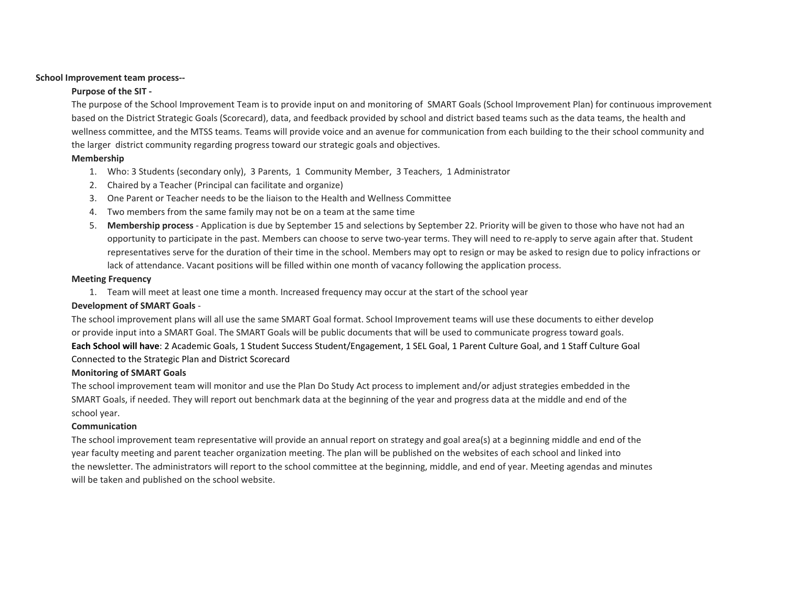#### **School Improvement team process--**

## **Purpose of the SIT -**

The purpose of the School Improvement Team is to provide input on and monitoring of SMART Goals (School Improvement Plan) for continuous improvement based on the District Strategic Goals (Scorecard), data, and feedback provided by school and district based teams such as the data teams, the health and wellness committee, and the MTSS teams. Teams will provide voice and an avenue for communication from each building to the their school community and the larger district community regarding progress toward our strategic goals and objectives.

## **Membership**

- 1. Who: 3 Students (secondary only), 3 Parents, 1 Community Member, 3 Teachers, 1 Administrator
- 2. Chaired by a Teacher (Principal can facilitate and organize)
- 3. One Parent or Teacher needs to be the liaison to the Health and Wellness Committee
- 4. Two members from the same family may not be on a team at the same time
- 5. **Membership process** Application is due by September 15 and selections by September 22. Priority will be given to those who have not had an opportunity to participate in the past. Members can choose to serve two-year terms. They will need to re-apply to serve again after that. Student representatives serve for the duration of their time in the school. Members may opt to resign or may be asked to resign due to policy infractions or lack of attendance. Vacant positions will be filled within one month of vacancy following the application process.

#### **Meeting Frequency**

1. Team will meet at least one time a month. Increased frequency may occur at the start of the school year

### **Development of SMART Goals** -

The school improvement plans will all use the same SMART Goal format. School Improvement teams will use these documents to either develop or provide input into a SMART Goal. The SMART Goals will be public documents that will be used to communicate progress toward goals. **Each School will have**: 2 Academic Goals, 1 Student Success Student/Engagement, 1 SEL Goal, 1 Parent Culture Goal, and 1 Staff Culture Goal Connected to the Strategic Plan and District Scorecard

#### **Monitoring of SMART Goals**

The school improvement team will monitor and use the Plan Do Study Act process to implement and/or adjust strategies embedded in the SMART Goals, if needed. They will report out benchmark data at the beginning of the year and progress data at the middle and end of the school year.

## **Communication**

The school improvement team representative will provide an annual report on strategy and goal area(s) at a beginning middle and end of the year faculty meeting and parent teacher organization meeting. The plan will be published on the websites of each school and linked into the newsletter. The administrators will report to the school committee at the beginning, middle, and end of year. Meeting agendas and minutes will be taken and published on the school website.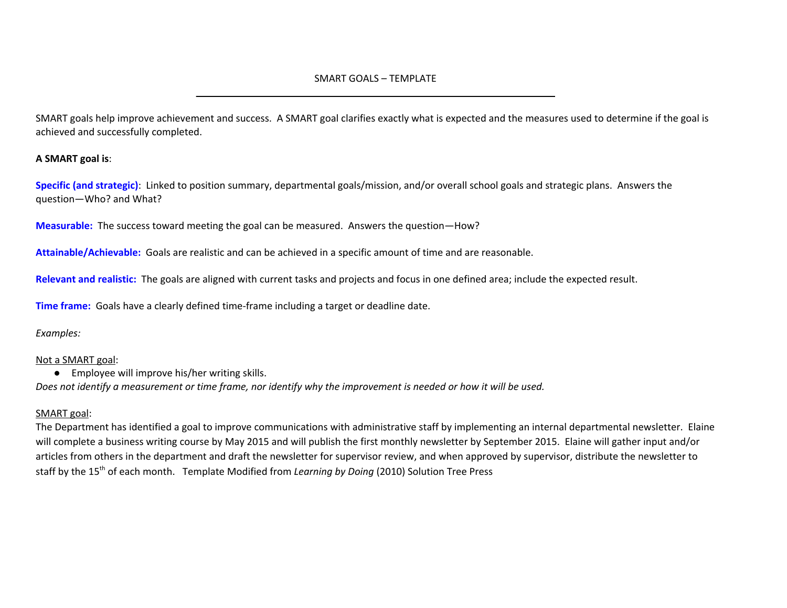# SMART GOALS – TEMPLATE \_\_\_\_\_\_\_\_\_\_\_\_\_\_\_\_\_\_\_\_\_\_\_\_\_\_\_\_\_\_\_\_\_\_\_\_\_\_\_\_\_\_\_\_\_\_\_\_\_\_\_\_\_\_\_\_\_\_\_\_\_\_\_\_\_\_

SMART goals help improve achievement and success. A SMART goal clarifies exactly what is expected and the measures used to determine if the goal is achieved and successfully completed.

## **A SMART goal is**:

**Specific (and strategic)**: Linked to position summary, departmental goals/mission, and/or overall school goals and strategic plans. Answers the question—Who? and What?

**Measurable:** The success toward meeting the goal can be measured. Answers the question—How?

**Attainable/Achievable:** Goals are realistic and can be achieved in a specific amount of time and are reasonable.

**Relevant and realistic:** The goals are aligned with current tasks and projects and focus in one defined area; include the expected result.

**Time frame:** Goals have a clearly defined time-frame including a target or deadline date.

*Examples:*

# Not a SMART goal:

● Employee will improve his/her writing skills.

Does not identify a measurement or time frame, nor identify why the improvement is needed or how it will be used.

# SMART goal:

The Department has identified a goal to improve communications with administrative staff by implementing an internal departmental newsletter. Elaine will complete a business writing course by May 2015 and will publish the first monthly newsletter by September 2015. Elaine will gather input and/or articles from others in the department and draft the newsletter for supervisor review, and when approved by supervisor, distribute the newsletter to staff by the 15<sup>th</sup> of each month. Template Modified from *Learning by Doing* (2010) Solution Tree Press